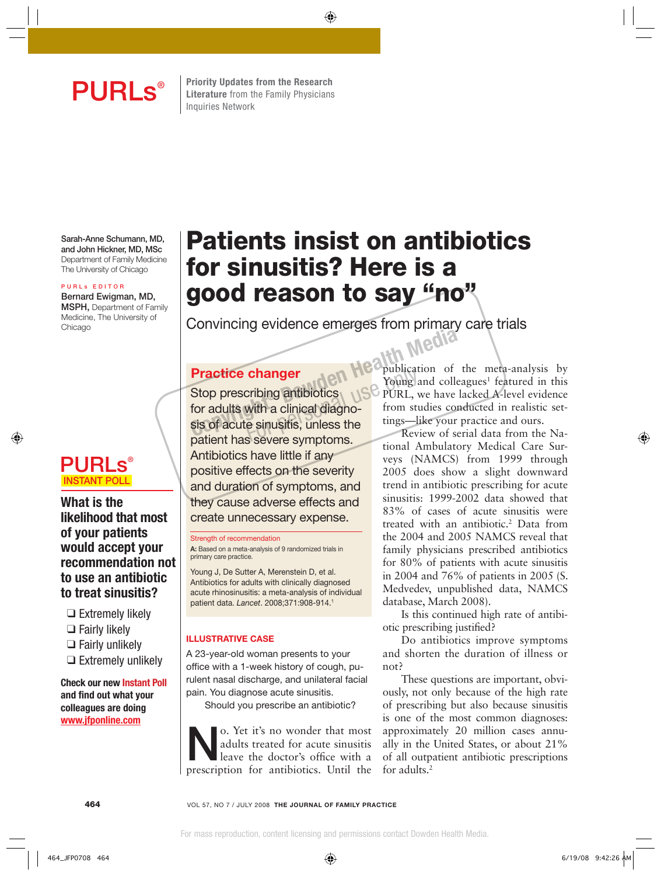**PURLS**<sup>®</sup> Elterature from the Family Physicians **Literature** from the Family Physicians Inquiries Network

**Sarah-Anne Schumann, MD, and John Hickner, MD, MSc** Department of Family Medicine The University of Chicago

#### **P U R L s E D I T O R**

**Bernard Ewigman, MD, MSPH,** Department of Family Medicine, The University of Chicago

# **PURLs® INSTANT POLL**

### **What is the likelihood that most of your patients would accept your recommendation not to use an antibiotic to treat sinusitis?**

- ❑ Extremely likely
- ❑ Fairly likely
- ❑ Fairly unlikely
- ❑ Extremely unlikely

 **Check our new Instant Poll** and find out what your **colleagues are doing www.jfponline.com**

# **Patients insist on antibiotics for sinusitis? Here is a good reason to say "no"**

Convincing evidence emerges from primary care trials<br>
Media

# **Practice changer**

Stop prescribing antibiotics for adults with a clinical diagnosis of acute sinusitis, unless the patient has severe symptoms. Antibiotics have little if any positive effects on the severity and duration of symptoms, and they cause adverse effects and create unnecessary expense. Practice changer<br>
Stop prescribing antibiotics<br>
for adults with a clinical diagno-<br>
sis of acute sinusitis, unless the strategy of service of service of the Review of service of the Review of service of the Review of servi **changer**<br>
cribing antibiotics<br>
with a clinical diagno-<br>
FURL, with a clinical diagno-<br>
From stress only that the tings-line<br>
s severe symptoms

#### Strength of recommendation

**A:** Based on a meta-analysis of 9 randomized trials in primary care practice.

Young J, De Sutter A, Merenstein D, et al. Antibiotics for adults with clinically diagnosed acute rhinosinusitis: a meta-analysis of individual patient data. Lancet. 2008;371:908-914.1

#### **ILLUSTRATIVE CASE**

A 23-year-old woman presents to your office with a 1-week history of cough, purulent nasal discharge, and unilateral facial pain. You diagnose acute sinusitis.

Should you prescribe an antibiotic?

**No. Yet it's no wonder that most**<br>adults treated for acute sinusitis<br>leave the doctor's office with a<br>prescription for applications. Until the adults treated for acute sinusitis leave the doctor's office with a prescription for antibiotics. Until the

**Popublication** of the meta-analysis by Young and colleagues<sup>1</sup> featured in this PURL, we have lacked A-level evidence from studies conducted in realistic settings—like your practice and ours.

Review of serial data from the National Ambulatory Medical Care Surveys (NAMCS) from 1999 through 2005 does show a slight downward trend in antibiotic prescribing for acute sinusitis: 1999-2002 data showed that 83% of cases of acute sinusitis were treated with an antibiotic.<sup>2</sup> Data from the 2004 and 2005 NAMCS reveal that family physicians prescribed antibiotics for 80% of patients with acute sinusitis in 2004 and 76% of patients in 2005 (S. Medvedev, unpublished data, NAMCS database, March 2008).

Is this continued high rate of antibiotic prescribing justified?

Do antibiotics improve symptoms and shorten the duration of illness or not?

These questions are important, obviously, not only because of the high rate of prescribing but also because sinusitis is one of the most common diagnoses: approximately 20 million cases annually in the United States, or about 21% of all outpatient antibiotic prescriptions for adults.2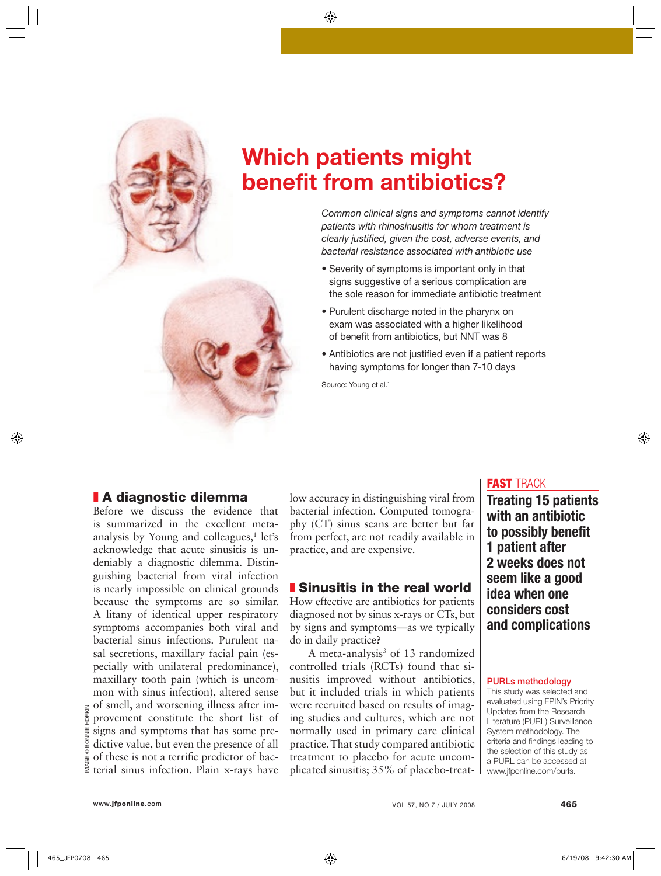

# **Which patients might benefit from antibiotics?**

Common clinical signs and symptoms cannot identify patients with rhinosinusitis for whom treatment is clearly justified, given the cost, adverse events, and bacterial resistance associated with antibiotic use

- Severity of symptoms is important only in that signs suggestive of a serious complication are the sole reason for immediate antibiotic treatment
- Purulent discharge noted in the pharynx on exam was associated with a higher likelihood of benefit from antibiotics, but NNT was 8
- Antibiotics are not justified even if a patient reports having symptoms for longer than 7-10 days

Source: Young et al.<sup>1</sup>

### ❚ **A diagnostic dilemma**

Before we discuss the evidence that is summarized in the excellent metaanalysis by Young and colleagues,<sup>1</sup> let's acknowledge that acute sinusitis is undeniably a diagnostic dilemma. Distinguishing bacterial from viral infection is nearly impossible on clinical grounds because the symptoms are so similar. A litany of identical upper respiratory symptoms accompanies both viral and bacterial sinus infections. Purulent nasal secretions, maxillary facial pain (especially with unilateral predominance), maxillary tooth pain (which is uncommon with sinus infection), altered sense of smell, and worsening illness after improvement constitute the short list of signs and symptoms that has some predictive value, but even the presence of all of these is not a terrific predictor of bacterial sinus infection. Plain x-rays have

low accuracy in distinguishing viral from bacterial infection. Computed tomography (CT) sinus scans are better but far from perfect, are not readily available in practice, and are expensive.

#### ❚ **Sinusitis in the real world**

How effective are antibiotics for patients diagnosed not by sinus x-rays or CTs, but by signs and symptoms—as we typically do in daily practice?

A meta-analysis<sup>3</sup> of 13 randomized controlled trials (RCTs) found that sinusitis improved without antibiotics, but it included trials in which patients were recruited based on results of imaging studies and cultures, which are not normally used in primary care clinical practice. That study compared antibiotic treatment to placebo for acute uncomplicated sinusitis; 35% of placebo-treat-

#### **FAST** TRACK

**Treating 15 patients with an antibiotic**  to possibly benefit **1 patient after 2 weeks does not seem like a good idea when one considers cost and complications** 

#### **PURLs methodology**

This study was selected and evaluated using FPIN's Priority Updates from the Research Literature (PURL) Surveillance System methodology. The criteria and findings leading to the selection of this study as a PURL can be accessed at www.jfponline.com/purls.

IMAGE © BONNIE HOFKIN

IMAGE<sup>®</sup>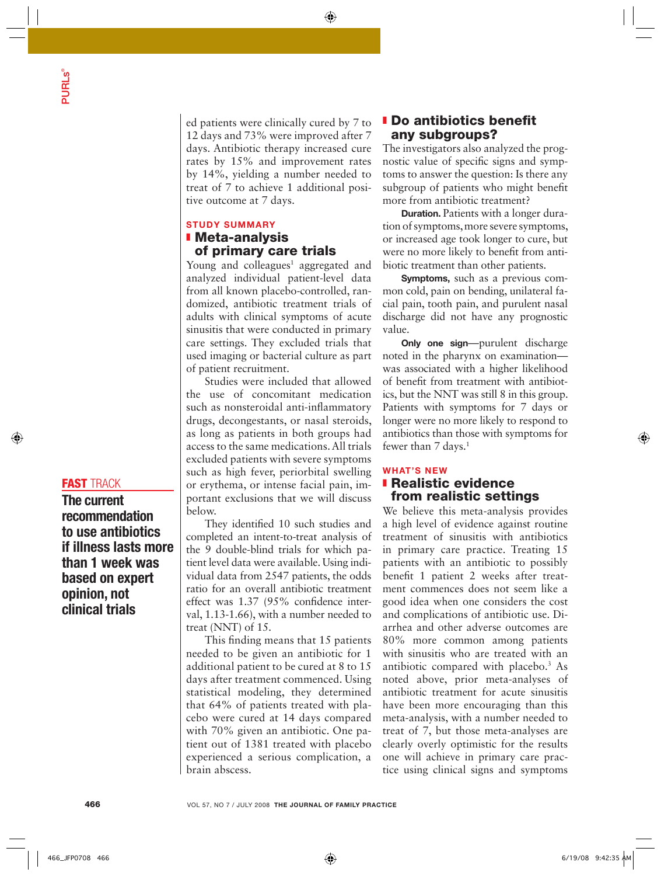ed patients were clinically cured by 7 to 12 days and 73% were improved after 7 days. Antibiotic therapy increased cure rates by 15% and improvement rates by 14%, yielding a number needed to treat of 7 to achieve 1 additional positive outcome at 7 days.

#### **STUDY SUMMARY** ❚ **Meta-analysis of primary care trials**

Young and colleagues<sup>1</sup> aggregated and analyzed individual patient-level data from all known placebo-controlled, randomized, antibiotic treatment trials of adults with clinical symptoms of acute sinusitis that were conducted in primary care settings. They excluded trials that used imaging or bacterial culture as part of patient recruitment.

Studies were included that allowed the use of concomitant medication such as nonsteroidal anti-inflammatory drugs, decongestants, or nasal steroids, as long as patients in both groups had access to the same medications. All trials excluded patients with severe symptoms such as high fever, periorbital swelling or erythema, or intense facial pain, important exclusions that we will discuss below.

They identified 10 such studies and completed an intent-to-treat analysis of the 9 double-blind trials for which patient level data were available. Using individual data from 2547 patients, the odds ratio for an overall antibiotic treatment effect was  $1.37$  (95% confidence interval, 1.13-1.66), with a number needed to treat (NNT) of 15.

This finding means that 15 patients needed to be given an antibiotic for 1 additional patient to be cured at 8 to 15 days after treatment commenced. Using statistical modeling, they determined that 64% of patients treated with placebo were cured at 14 days compared with 70% given an antibiotic. One patient out of 1381 treated with placebo experienced a serious complication, a brain abscess.

### **I** Do antibiotics benefit **any subgroups?**

The investigators also analyzed the prognostic value of specific signs and symptoms to answer the question: Is there any subgroup of patients who might benefit more from antibiotic treatment?

**Duration.** Patients with a longer duration of symptoms, more severe symptoms, or increased age took longer to cure, but were no more likely to benefit from antibiotic treatment than other patients.

**Symptoms,** such as a previous common cold, pain on bending, unilateral facial pain, tooth pain, and purulent nasal discharge did not have any prognostic value.

**Only one sign**—purulent discharge noted in the pharynx on examination was associated with a higher likelihood of benefit from treatment with antibiotics, but the NNT was still 8 in this group. Patients with symptoms for 7 days or longer were no more likely to respond to antibiotics than those with symptoms for fewer than  $7$  days.<sup>1</sup>

#### **WHAT'S NEW** ❚ **Realistic evidence from realistic settings**

We believe this meta-analysis provides a high level of evidence against routine treatment of sinusitis with antibiotics in primary care practice. Treating 15 patients with an antibiotic to possibly benefit 1 patient 2 weeks after treatment commences does not seem like a good idea when one considers the cost and complications of antibiotic use. Diarrhea and other adverse outcomes are 80% more common among patients with sinusitis who are treated with an antibiotic compared with placebo.3 As noted above, prior meta-analyses of antibiotic treatment for acute sinusitis have been more encouraging than this meta-analysis, with a number needed to treat of 7, but those meta-analyses are clearly overly optimistic for the results one will achieve in primary care practice using clinical signs and symptoms

# **FAST** TRACK

**The current recommendation to use antibiotics if illness lasts more than 1 week was based on expert opinion, not clinical trials**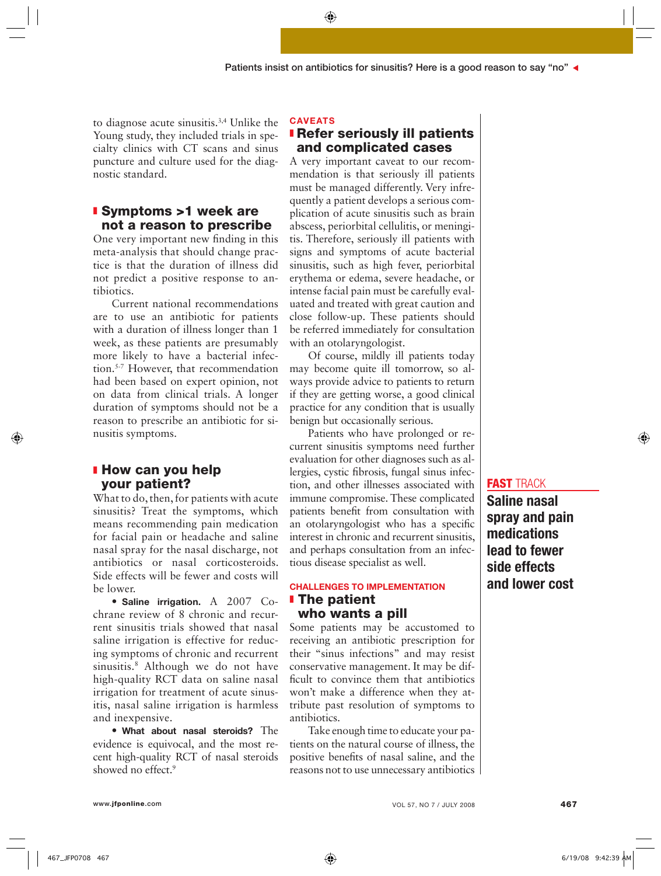to diagnose acute sinusitis.3,4 Unlike the Young study, they included trials in specialty clinics with CT scans and sinus puncture and culture used for the diagnostic standard.

#### ❚ **Symptoms >1 week are not a reason to prescribe**

One very important new finding in this meta-analysis that should change practice is that the duration of illness did not predict a positive response to antibiotics.

Current national recommendations are to use an antibiotic for patients with a duration of illness longer than 1 week, as these patients are presumably more likely to have a bacterial infection.5-7 However, that recommendation had been based on expert opinion, not on data from clinical trials. A longer duration of symptoms should not be a reason to prescribe an antibiotic for sinusitis symptoms.

### ❚ **How can you help your patient?**

What to do, then, for patients with acute sinusitis? Treat the symptoms, which means recommending pain medication for facial pain or headache and saline nasal spray for the nasal discharge, not antibiotics or nasal corticosteroids. Side effects will be fewer and costs will be lower.

• **Saline irrigation.** A 2007 Cochrane review of 8 chronic and recurrent sinusitis trials showed that nasal saline irrigation is effective for reducing symptoms of chronic and recurrent sinusitis.8 Although we do not have high-quality RCT data on saline nasal irrigation for treatment of acute sinusitis, nasal saline irrigation is harmless and inexpensive.

• **What about nasal steroids?** The evidence is equivocal, and the most recent high-quality RCT of nasal steroids showed no effect.<sup>9</sup>

#### **CAVEATS**

#### ❚ **Refer seriously ill patients and complicated cases**

A very important caveat to our recommendation is that seriously ill patients must be managed differently. Very infrequently a patient develops a serious complication of acute sinusitis such as brain abscess, periorbital cellulitis, or meningitis. Therefore, seriously ill patients with signs and symptoms of acute bacterial sinusitis, such as high fever, periorbital erythema or edema, severe headache, or intense facial pain must be carefully evaluated and treated with great caution and close follow-up. These patients should be referred immediately for consultation with an otolaryngologist.

Of course, mildly ill patients today may become quite ill tomorrow, so always provide advice to patients to return if they are getting worse, a good clinical practice for any condition that is usually benign but occasionally serious.

Patients who have prolonged or recurrent sinusitis symptoms need further evaluation for other diagnoses such as allergies, cystic fibrosis, fungal sinus infection, and other illnesses associated with immune compromise. These complicated patients benefit from consultation with an otolaryngologist who has a specific interest in chronic and recurrent sinusitis, and perhaps consultation from an infectious disease specialist as well.

#### **CHALLENGES TO IMPLEMENTATION** ❚ **The patient who wants a pill**

Some patients may be accustomed to receiving an antibiotic prescription for their "sinus infections" and may resist conservative management. It may be difficult to convince them that antibiotics won't make a difference when they attribute past resolution of symptoms to antibiotics.

Take enough time to educate your patients on the natural course of illness, the positive benefits of nasal saline, and the reasons not to use unnecessary antibiotics

#### **FAST** TRACK

**Saline nasal spray and pain medications lead to fewer side effects and lower cost**